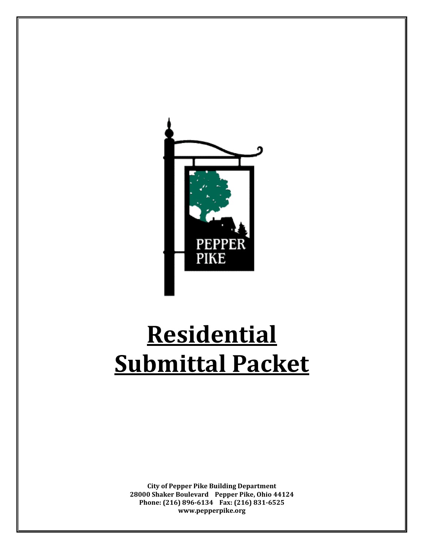

# **Residential Submittal Packet**

**City of Pepper Pike Building Department 28000 Shaker Boulevard Pepper Pike, Ohio 44124 Phone: (216) 896-6134 Fax: (216) 831-6525 www.pepperpike.org**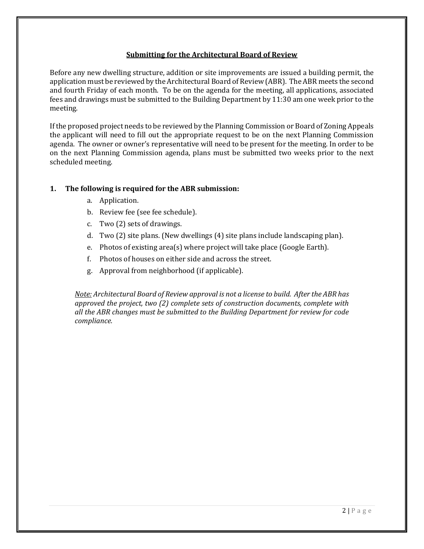## **Submitting for the Architectural Board of Review**

Before any new dwelling structure, addition or site improvements are issued a building permit, the application must be reviewed by the Architectural Board of Review (ABR). The ABR meets the second and fourth Friday of each month. To be on the agenda for the meeting, all applications, associated fees and drawings must be submitted to the Building Department by 11:30 am one week prior to the meeting.

If the proposed project needs to be reviewed by the Planning Commission or Board of Zoning Appeals the applicant will need to fill out the appropriate request to be on the next Planning Commission agenda. The owner or owner's representative will need to be present for the meeting. In order to be on the next Planning Commission agenda, plans must be submitted two weeks prior to the next scheduled meeting.

## **1. The following is required for the ABR submission:**

- a. Application.
- b. Review fee (see fee schedule).
- c. Two (2) sets of drawings.
- d. Two (2) site plans. (New dwellings (4) site plans include landscaping plan).
- e. Photos of existing area(s) where project will take place (Google Earth).
- f. Photos of houses on either side and across the street.
- g. Approval from neighborhood (if applicable).

*Note: Architectural Board of Review approval is not a license to build. After the ABR has approved the project, two (2) complete sets of construction documents, complete with all the ABR changes must be submitted to the Building Department for review for code compliance.*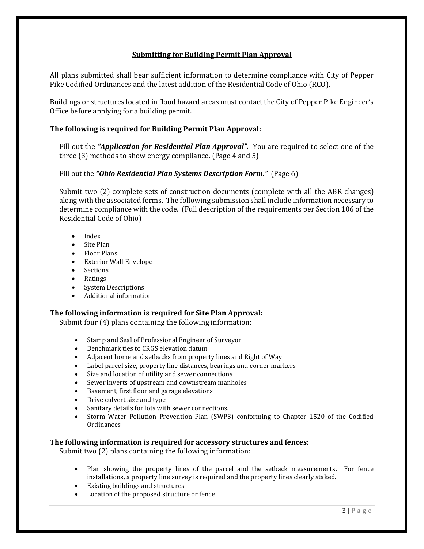## **Submitting for Building Permit Plan Approval**

All plans submitted shall bear sufficient information to determine compliance with City of Pepper Pike Codified Ordinances and the latest addition of the Residential Code of Ohio (RCO).

Buildings or structures located in flood hazard areas must contact the City of Pepper Pike Engineer's Office before applying for a building permit.

## **The following is required for Building Permit Plan Approval:**

Fill out the *"Application for Residential Plan Approval".* You are required to select one of the three (3) methods to show energy compliance. (Page 4 and 5)

## Fill out the *"Ohio Residential Plan Systems Description Form."* (Page 6)

Submit two (2) complete sets of construction documents (complete with all the ABR changes) along with the associated forms. The following submission shall include information necessary to determine compliance with the code. (Full description of the requirements per Section 106 of the Residential Code of Ohio)

- Index
- Site Plan
- Floor Plans
- Exterior Wall Envelope
- Sections
- Ratings
- System Descriptions
- Additional information

## **The following information is required for Site Plan Approval:**

Submit four (4) plans containing the following information:

- Stamp and Seal of Professional Engineer of Surveyor
- Benchmark ties to CRGS elevation datum
- Adjacent home and setbacks from property lines and Right of Way
- Label parcel size, property line distances, bearings and corner markers
- Size and location of utility and sewer connections
- Sewer inverts of upstream and downstream manholes
- Basement, first floor and garage elevations
- Drive culvert size and type
- Sanitary details for lots with sewer connections.
- Storm Water Pollution Prevention Plan (SWP3) conforming to Chapter 1520 of the Codified Ordinances

#### **The following information is required for accessory structures and fences:**

Submit two (2) plans containing the following information:

- Plan showing the property lines of the parcel and the setback measurements. For fence installations, a property line survey is required and the property lines clearly staked.
- Existing buildings and structures
- Location of the proposed structure or fence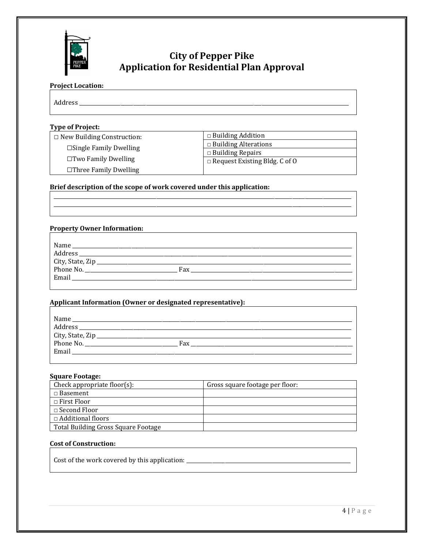

# **City of Pepper Pike Application for Residential Plan Approval**

## **Project Location:**

Address \_\_\_\_\_\_\_\_\_\_\_\_\_\_\_\_\_\_\_\_\_\_\_\_\_\_\_\_\_\_\_\_\_\_\_\_\_\_\_\_\_\_\_\_\_\_\_\_\_\_\_\_\_\_\_\_\_\_\_\_\_\_\_\_\_\_\_\_\_\_\_\_\_\_\_\_\_\_\_\_\_\_\_\_\_\_\_\_\_\_\_\_\_\_\_\_\_\_\_\_\_\_\_\_\_

#### **Type of Project:**

□ New Building Construction:  **□**Single Family Dwelling

□Two Family Dwelling

□Three Family Dwelling

□ Building Addition □ Building Alterations □ Building Repairs  $\Box$  Request Existing Bldg. C of O

## **Brief description of the scope of work covered under this application:**

#### **Property Owner Information:**

| Name                           |     |
|--------------------------------|-----|
| Address                        |     |
| City, State, Zip_<br>Phone No. |     |
|                                | Fax |
| Email                          |     |

\_\_\_\_\_\_\_\_\_\_\_\_\_\_\_\_\_\_\_\_\_\_\_\_\_\_\_\_\_\_\_\_\_\_\_\_\_\_\_\_\_\_\_\_\_\_\_\_\_\_\_\_\_\_\_\_\_\_\_\_\_\_\_\_\_\_\_\_\_\_\_\_\_\_\_\_\_\_\_\_\_\_\_\_\_\_\_\_\_\_\_\_\_\_\_\_\_\_\_\_\_\_\_\_\_\_\_\_\_\_\_\_\_\_\_\_ \_\_\_\_\_\_\_\_\_\_\_\_\_\_\_\_\_\_\_\_\_\_\_\_\_\_\_\_\_\_\_\_\_\_\_\_\_\_\_\_\_\_\_\_\_\_\_\_\_\_\_\_\_\_\_\_\_\_\_\_\_\_\_\_\_\_\_\_\_\_\_\_\_\_\_\_\_\_\_\_\_\_\_\_\_\_\_\_\_\_\_\_\_\_\_\_\_\_\_\_\_\_\_\_\_\_\_\_\_\_\_\_\_\_\_\_

#### **Applicant Information (Owner or designated representative):**

| Name<br>Address                        |     |
|----------------------------------------|-----|
| City, State, Zip<br>Phone No.<br>Email | Fax |

#### **Square Footage:**

| Check appropriate floor $(s)$ :     | Gross square footage per floor: |
|-------------------------------------|---------------------------------|
| $\Box$ Basement                     |                                 |
| $\Box$ First Floor                  |                                 |
| $\Box$ Second Floor                 |                                 |
| $\Box$ Additional floors            |                                 |
| Total Building Gross Square Footage |                                 |

#### **Cost of Construction:**

Cost of the work covered by this application: \_\_\_\_\_\_\_\_\_\_\_\_\_\_\_\_\_\_\_\_\_\_\_\_\_\_\_\_\_\_\_\_\_\_\_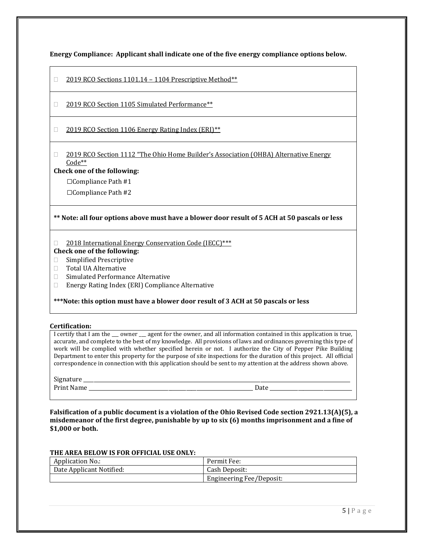**Energy Compliance: Applicant shall indicate one of the five energy compliance options below.**

- □ 2019 RCO Sections 1101.14 1104 Prescriptive Method\*\*
- □ 2019 RCO Section 1105 Simulated Performance\*\*
- □ 2019 RCO Section 1106 Energy Rating Index (ERI) \*\*
- □ 2019 RCO Section 1112 "The Ohio Home Builder's Association (OHBA) Alternative Energy Code\*\*

#### **Check one of the following:**

□Compliance Path #1

□Compliance Path #2

#### **\*\* Note: all four options above must have a blower door result of 5 ACH at 50 pascals or less**

□ 2018 International Energy Conservation Code (IECC) \*\*\*

## **Check one of the following:**

- □ Simplified Prescriptive
- □ Total UA Alternative
- □ Simulated Performance Alternative
- Energy Rating Index (ERI) Compliance Alternative

#### **\*\*\*Note: this option must have a blower door result of 3 ACH at 50 pascals or less**

#### **Certification:**

I certify that I am the  $\_\_$  owner  $\_\_$  agent for the owner, and all information contained in this application is true, accurate, and complete to the best of my knowledge. All provisions of laws and ordinances governing this type of work will be complied with whether specified herein or not. I authorize the City of Pepper Pike Building Department to enter this property for the purpose of site inspections for the duration of this project. All official correspondence in connection with this application should be sent to my attention at the address shown above.

Signature \_\_\_\_\_\_\_\_\_\_\_\_\_\_\_\_\_\_\_\_\_\_\_\_\_\_\_\_\_\_\_\_\_\_\_\_\_\_\_\_\_\_\_\_\_\_\_\_\_\_\_\_\_\_\_\_\_\_\_\_\_\_\_\_\_\_\_\_\_\_\_\_\_\_\_\_\_\_\_\_\_\_\_\_\_\_\_\_\_\_\_\_\_\_\_\_\_\_\_\_\_\_\_\_ Print Name \_\_\_\_\_\_\_\_\_\_\_\_\_\_\_\_\_\_\_\_\_\_\_\_\_\_\_\_\_\_\_\_\_\_\_\_\_\_\_\_\_\_\_\_\_\_\_\_\_\_\_\_\_\_\_\_\_\_\_\_\_\_\_\_ Date \_\_\_\_\_\_\_\_\_\_\_\_\_\_\_\_\_\_\_\_\_\_\_\_\_\_\_\_\_\_\_\_

**Falsification of a public document is a violation of the Ohio Revised Code section 2921.13(A)(5), a misdemeanor of the first degree, punishable by up to six (6) months imprisonment and a fine of \$1,000 or both.**

#### **THE AREA BELOW IS FOR OFFICIAL USE ONLY:**

| <b>Application No.:</b>  | Permit Fee:              |
|--------------------------|--------------------------|
| Date Applicant Notified: | Cash Deposit:            |
|                          | Engineering Fee/Deposit: |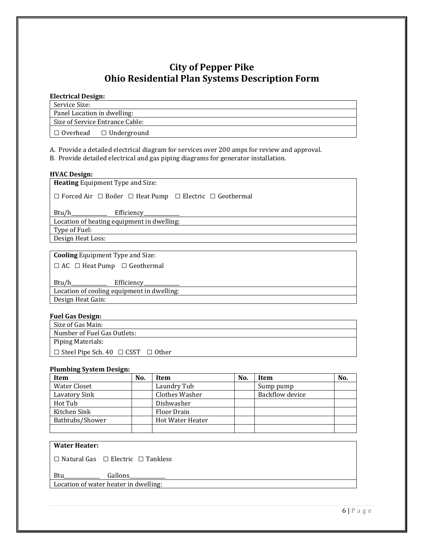## **City of Pepper Pike Ohio Residential Plan Systems Description Form**

#### **Electrical Design:**

Service Size:

Panel Location in dwelling: Size of Service Entrance Cable:

□ Overhead □ Underground

A. Provide a detailed electrical diagram for services over 200 amps for review and approval.

B. Provide detailed electrical and gas piping diagrams for generator installation.

#### **HVAC Design:**

**Heating** Equipment Type and Size:

□ Forced Air □ Boiler □ Heat Pump □ Electric □ Geothermal

Btu/h\_\_\_\_\_\_\_\_\_\_\_\_\_\_ Efficiency\_\_\_\_\_\_\_\_\_\_\_\_\_\_

Location of heating equipment in dwelling:

Type of Fuel:

Design Heat Loss:

**Cooling** Equipment Type and Size:

□ AC □ Heat Pump □ Geothermal

Btu/h\_\_\_\_\_\_\_\_\_\_\_\_\_\_ Efficiency\_\_\_\_\_\_\_\_\_\_\_\_\_\_ Location of cooling equipment in dwelling: Design Heat Gain:

## **Fuel Gas Design:**

| Size of Gas Main:                                  |
|----------------------------------------------------|
| Number of Fuel Gas Outlets:                        |
| Piping Materials:                                  |
| $\Box$ Steel Pipe Sch. 40 $\Box$ CSST $\Box$ Other |

## **Plumbing System Design:**

| Item            | No. | Item                    | No. | Item            | No. |
|-----------------|-----|-------------------------|-----|-----------------|-----|
| Water Closet    |     | Laundry Tub             |     | Sump pump       |     |
| Lavatory Sink   |     | Clothes Washer          |     | Backflow device |     |
| Hot Tub         |     | Dishwasher              |     |                 |     |
| Kitchen Sink    |     | Floor Drain             |     |                 |     |
| Bathtubs/Shower |     | <b>Hot Water Heater</b> |     |                 |     |
|                 |     |                         |     |                 |     |

## **Water Heater:**

□ Natural Gas □ Electric □ Tankless

Btu Gallons

Location of water heater in dwelling: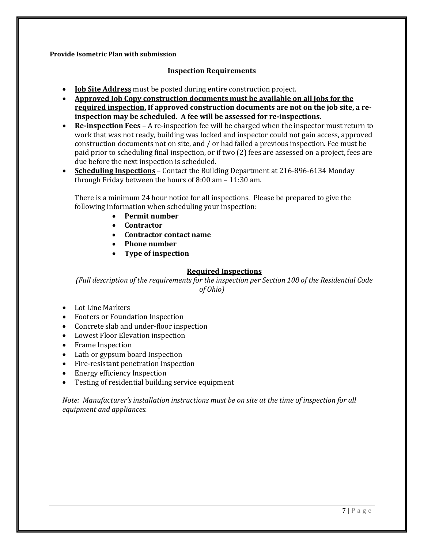#### **Provide Isometric Plan with submission**

## **Inspection Requirements**

- **Job Site Address** must be posted during entire construction project.
- **Approved Job Copy construction documents must be available on all jobs for the required inspection. If approved construction documents are not on the job site, a reinspection may be scheduled. A fee will be assessed for re-inspections.**
- **Re-inspection Fees** A re-inspection fee will be charged when the inspector must return to work that was not ready, building was locked and inspector could not gain access, approved construction documents not on site, and / or had failed a previous inspection. Fee must be paid prior to scheduling final inspection, or if two (2) fees are assessed on a project, fees are due before the next inspection is scheduled.
- **Scheduling Inspections** Contact the Building Department at 216-896-6134 Monday through Friday between the hours of 8:00 am – 11:30 am.

There is a minimum 24 hour notice for all inspections. Please be prepared to give the following information when scheduling your inspection:

- **Permit number**
- **Contractor**
- **Contractor contact name**
- **Phone number**
- **Type of inspection**

## **Required Inspections**

*(Full description of the requirements for the inspection per Section 108 of the Residential Code of Ohio)*

- Lot Line Markers
- Footers or Foundation Inspection
- Concrete slab and under-floor inspection
- Lowest Floor Elevation inspection
- Frame Inspection
- Lath or gypsum board Inspection
- Fire-resistant penetration Inspection
- Energy efficiency Inspection
- Testing of residential building service equipment

*Note: Manufacturer's installation instructions must be on site at the time of inspection for all equipment and appliances.*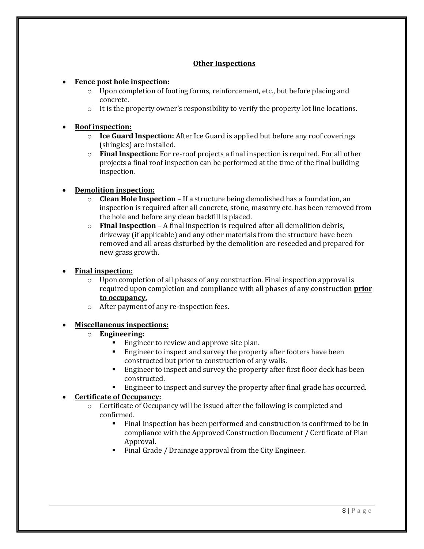## **Other Inspections**

## • **Fence post hole inspection:**

- $\circ$  Upon completion of footing forms, reinforcement, etc., but before placing and concrete.
- $\circ$  It is the property owner's responsibility to verify the property lot line locations.

## • **Roof inspection:**

- o **Ice Guard Inspection:** After Ice Guard is applied but before any roof coverings (shingles) are installed.
- o **Final Inspection:** For re-roof projects a final inspection is required. For all other projects a final roof inspection can be performed at the time of the final building inspection.

## • **Demolition inspection:**

- o **Clean Hole Inspection** If a structure being demolished has a foundation, an inspection is required after all concrete, stone, masonry etc. has been removed from the hole and before any clean backfill is placed.
- o **Final Inspection** A final inspection is required after all demolition debris, driveway (if applicable) and any other materials from the structure have been removed and all areas disturbed by the demolition are reseeded and prepared for new grass growth.

## • **Final inspection:**

- $\circ$  Upon completion of all phases of any construction. Final inspection approval is required upon completion and compliance with all phases of any construction **prior to occupancy.**
- o After payment of any re-inspection fees.

## • **Miscellaneous inspections:**

- o **Engineering:**
	- Engineer to review and approve site plan.
	- Engineer to inspect and survey the property after footers have been constructed but prior to construction of any walls.
	- Engineer to inspect and survey the property after first floor deck has been constructed.
	- Engineer to inspect and survey the property after final grade has occurred.

## • **Certificate of Occupancy:**

- $\circ$  Certificate of Occupancy will be issued after the following is completed and confirmed.
	- Final Inspection has been performed and construction is confirmed to be in compliance with the Approved Construction Document / Certificate of Plan Approval.
	- Final Grade / Drainage approval from the City Engineer.